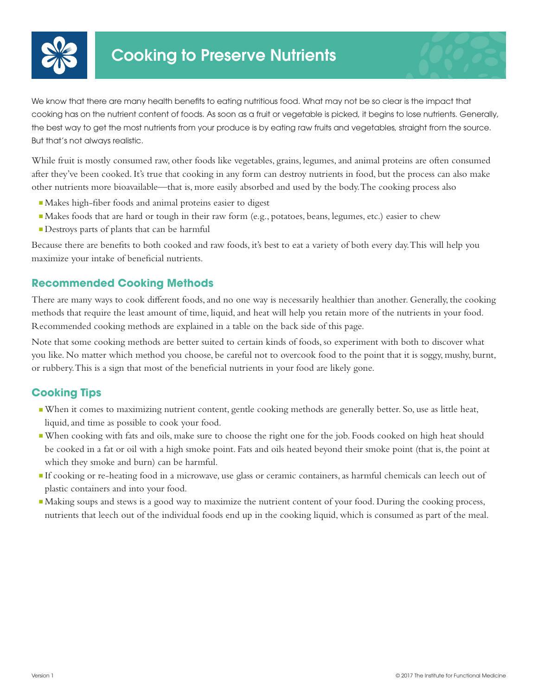

We know that there are many health benefits to eating nutritious food. What may not be so clear is the impact that cooking has on the nutrient content of foods. As soon as a fruit or vegetable is picked, it begins to lose nutrients. Generally, the best way to get the most nutrients from your produce is by eating raw fruits and vegetables, straight from the source. But that's not always realistic.

While fruit is mostly consumed raw, other foods like vegetables, grains, legumes, and animal proteins are often consumed after they've been cooked. It's true that cooking in any form can destroy nutrients in food, but the process can also make other nutrients more bioavailable—that is, more easily absorbed and used by the body. The cooking process also

- <sup>n</sup>Makes high-fiber foods and animal proteins easier to digest
- <sup>n</sup>Makes foods that are hard or tough in their raw form (e.g., potatoes, beans, legumes, etc.) easier to chew
- <sup>n</sup>Destroys parts of plants that can be harmful

Because there are benefits to both cooked and raw foods, it's best to eat a variety of both every day. This will help you maximize your intake of beneficial nutrients.

## **Recommended Cooking Methods**

There are many ways to cook different foods, and no one way is necessarily healthier than another. Generally, the cooking methods that require the least amount of time, liquid, and heat will help you retain more of the nutrients in your food. Recommended cooking methods are explained in a table on the back side of this page.

Note that some cooking methods are better suited to certain kinds of foods, so experiment with both to discover what you like. No matter which method you choose, be careful not to overcook food to the point that it is soggy, mushy, burnt, or rubbery. This is a sign that most of the beneficial nutrients in your food are likely gone.

## **Cooking Tips**

- <sup>n</sup>When it comes to maximizing nutrient content, gentle cooking methods are generally better. So, use as little heat, liquid, and time as possible to cook your food.
- <sup>n</sup>When cooking with fats and oils, make sure to choose the right one for the job. Foods cooked on high heat should be cooked in a fat or oil with a high smoke point. Fats and oils heated beyond their smoke point (that is, the point at which they smoke and burn) can be harmful.
- <sup>n</sup>If cooking or re-heating food in a microwave, use glass or ceramic containers, as harmful chemicals can leech out of plastic containers and into your food.
- Making soups and stews is a good way to maximize the nutrient content of your food. During the cooking process, nutrients that leech out of the individual foods end up in the cooking liquid, which is consumed as part of the meal.